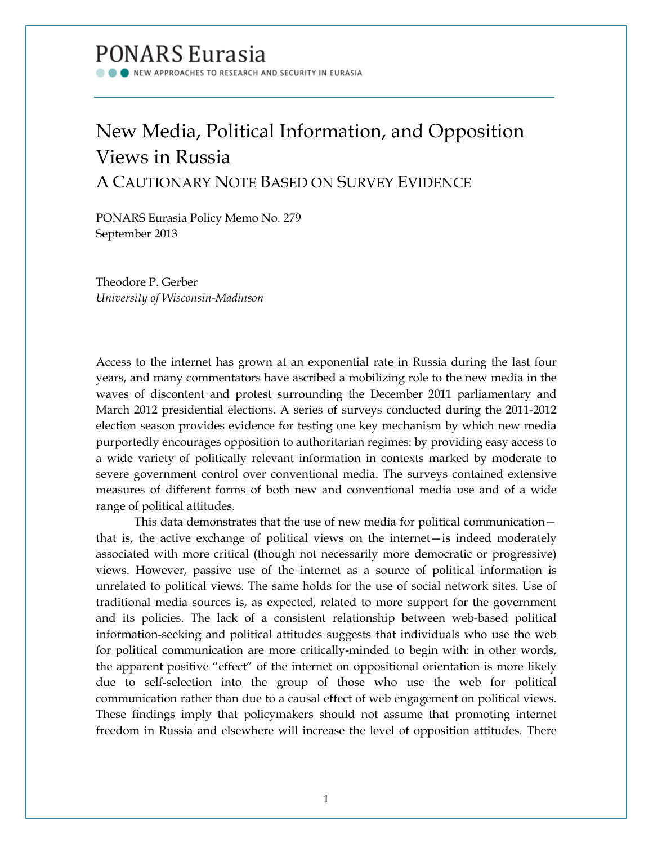# **PONARS Eurasia**

NEW APPROACHES TO RESEARCH AND SECURITY IN EURASIA

# New Media, Political Information, and Opposition Views in Russia A CAUTIONARY NOTE BASED ON SURVEY EVIDENCE

PONARS Eurasia Policy Memo No. 279 September 2013

Theodore P. Gerber *University of Wisconsin-Madinson*

Access to the internet has grown at an exponential rate in Russia during the last four years, and many commentators have ascribed a mobilizing role to the new media in the waves of discontent and protest surrounding the December 2011 parliamentary and March 2012 presidential elections. A series of surveys conducted during the 2011-2012 election season provides evidence for testing one key mechanism by which new media purportedly encourages opposition to authoritarian regimes: by providing easy access to a wide variety of politically relevant information in contexts marked by moderate to severe government control over conventional media. The surveys contained extensive measures of different forms of both new and conventional media use and of a wide range of political attitudes.

This data demonstrates that the use of new media for political communication that is, the active exchange of political views on the internet—is indeed moderately associated with more critical (though not necessarily more democratic or progressive) views. However, passive use of the internet as a source of political information is unrelated to political views. The same holds for the use of social network sites. Use of traditional media sources is, as expected, related to more support for the government and its policies. The lack of a consistent relationship between web-based political information-seeking and political attitudes suggests that individuals who use the web for political communication are more critically-minded to begin with: in other words, the apparent positive "effect" of the internet on oppositional orientation is more likely due to self-selection into the group of those who use the web for political communication rather than due to a causal effect of web engagement on political views. These findings imply that policymakers should not assume that promoting internet freedom in Russia and elsewhere will increase the level of opposition attitudes. There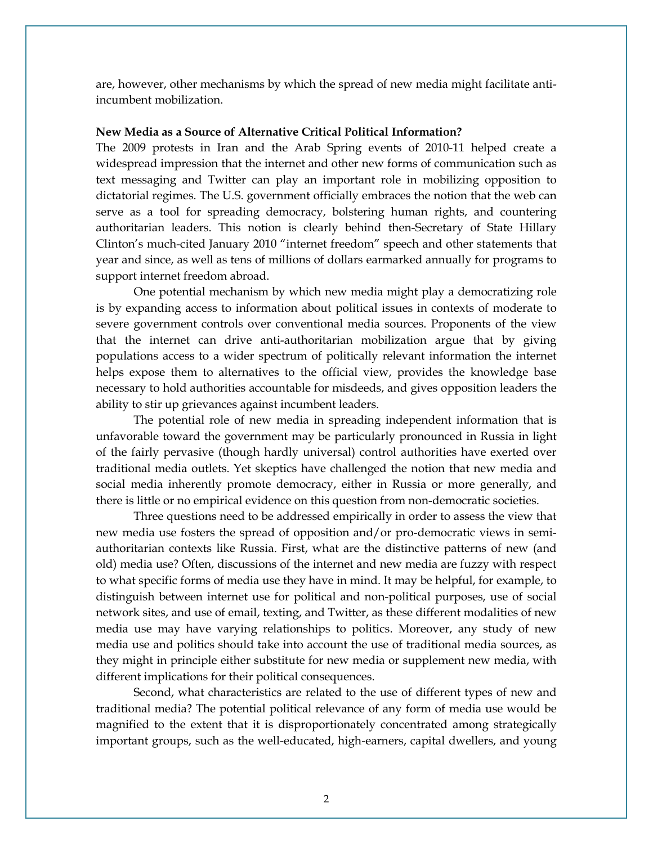are, however, other mechanisms by which the spread of new media might facilitate antiincumbent mobilization.

#### **New Media as a Source of Alternative Critical Political Information?**

The 2009 protests in Iran and the Arab Spring events of 2010-11 helped create a widespread impression that the internet and other new forms of communication such as text messaging and Twitter can play an important role in mobilizing opposition to dictatorial regimes. The U.S. government officially embraces the notion that the web can serve as a tool for spreading democracy, bolstering human rights, and countering authoritarian leaders. This notion is clearly behind then-Secretary of State Hillary Clinton's much-cited January 2010 "internet freedom" speech and other statements that year and since, as well as tens of millions of dollars earmarked annually for programs to support internet freedom abroad.

One potential mechanism by which new media might play a democratizing role is by expanding access to information about political issues in contexts of moderate to severe government controls over conventional media sources. Proponents of the view that the internet can drive anti-authoritarian mobilization argue that by giving populations access to a wider spectrum of politically relevant information the internet helps expose them to alternatives to the official view, provides the knowledge base necessary to hold authorities accountable for misdeeds, and gives opposition leaders the ability to stir up grievances against incumbent leaders.

The potential role of new media in spreading independent information that is unfavorable toward the government may be particularly pronounced in Russia in light of the fairly pervasive (though hardly universal) control authorities have exerted over traditional media outlets. Yet skeptics have challenged the notion that new media and social media inherently promote democracy, either in Russia or more generally, and there is little or no empirical evidence on this question from non-democratic societies.

Three questions need to be addressed empirically in order to assess the view that new media use fosters the spread of opposition and/or pro-democratic views in semiauthoritarian contexts like Russia. First, what are the distinctive patterns of new (and old) media use? Often, discussions of the internet and new media are fuzzy with respect to what specific forms of media use they have in mind. It may be helpful, for example, to distinguish between internet use for political and non-political purposes, use of social network sites, and use of email, texting, and Twitter, as these different modalities of new media use may have varying relationships to politics. Moreover, any study of new media use and politics should take into account the use of traditional media sources, as they might in principle either substitute for new media or supplement new media, with different implications for their political consequences.

Second, what characteristics are related to the use of different types of new and traditional media? The potential political relevance of any form of media use would be magnified to the extent that it is disproportionately concentrated among strategically important groups, such as the well-educated, high-earners, capital dwellers, and young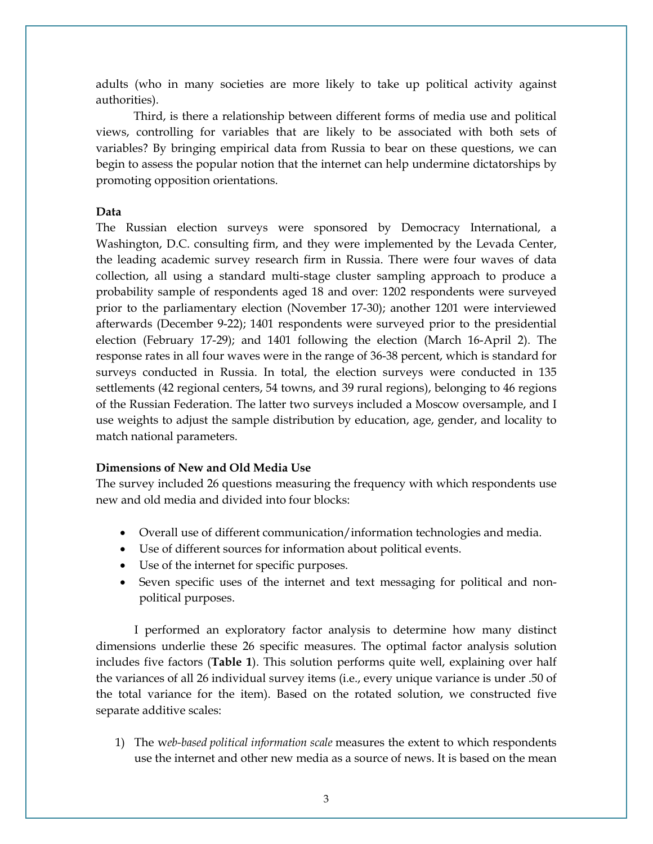adults (who in many societies are more likely to take up political activity against authorities).

Third, is there a relationship between different forms of media use and political views, controlling for variables that are likely to be associated with both sets of variables? By bringing empirical data from Russia to bear on these questions, we can begin to assess the popular notion that the internet can help undermine dictatorships by promoting opposition orientations.

# **Data**

The Russian election surveys were sponsored by Democracy International, a Washington, D.C. consulting firm, and they were implemented by the Levada Center, the leading academic survey research firm in Russia. There were four waves of data collection, all using a standard multi-stage cluster sampling approach to produce a probability sample of respondents aged 18 and over: 1202 respondents were surveyed prior to the parliamentary election (November 17-30); another 1201 were interviewed afterwards (December 9-22); 1401 respondents were surveyed prior to the presidential election (February 17-29); and 1401 following the election (March 16-April 2). The response rates in all four waves were in the range of 36-38 percent, which is standard for surveys conducted in Russia. In total, the election surveys were conducted in 135 settlements (42 regional centers, 54 towns, and 39 rural regions), belonging to 46 regions of the Russian Federation. The latter two surveys included a Moscow oversample, and I use weights to adjust the sample distribution by education, age, gender, and locality to match national parameters.

# **Dimensions of New and Old Media Use**

The survey included 26 questions measuring the frequency with which respondents use new and old media and divided into four blocks:

- Overall use of different communication/information technologies and media.
- Use of different sources for information about political events.
- Use of the internet for specific purposes.
- Seven specific uses of the internet and text messaging for political and nonpolitical purposes.

I performed an exploratory factor analysis to determine how many distinct dimensions underlie these 26 specific measures. The optimal factor analysis solution includes five factors (**Table 1**). This solution performs quite well, explaining over half the variances of all 26 individual survey items (i.e., every unique variance is under .50 of the total variance for the item). Based on the rotated solution, we constructed five separate additive scales:

1) The w*eb-based political information scale* measures the extent to which respondents use the internet and other new media as a source of news. It is based on the mean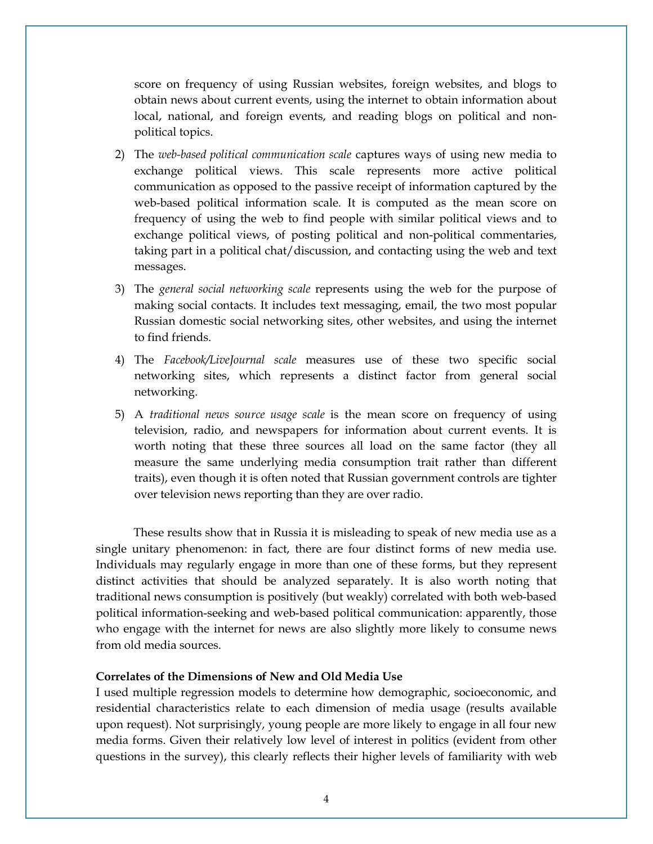score on frequency of using Russian websites, foreign websites, and blogs to obtain news about current events, using the internet to obtain information about local, national, and foreign events, and reading blogs on political and nonpolitical topics.

- 2) The *web-based political communication scale* captures ways of using new media to exchange political views. This scale represents more active political communication as opposed to the passive receipt of information captured by the web-based political information scale. It is computed as the mean score on frequency of using the web to find people with similar political views and to exchange political views, of posting political and non-political commentaries, taking part in a political chat/discussion, and contacting using the web and text messages.
- 3) The *general social networking scale* represents using the web for the purpose of making social contacts. It includes text messaging, email, the two most popular Russian domestic social networking sites, other websites, and using the internet to find friends.
- 4) The *Facebook/LiveJournal scale* measures use of these two specific social networking sites, which represents a distinct factor from general social networking.
- 5) A *traditional news source usage scale* is the mean score on frequency of using television, radio, and newspapers for information about current events. It is worth noting that these three sources all load on the same factor (they all measure the same underlying media consumption trait rather than different traits), even though it is often noted that Russian government controls are tighter over television news reporting than they are over radio.

These results show that in Russia it is misleading to speak of new media use as a single unitary phenomenon: in fact, there are four distinct forms of new media use. Individuals may regularly engage in more than one of these forms, but they represent distinct activities that should be analyzed separately. It is also worth noting that traditional news consumption is positively (but weakly) correlated with both web-based political information-seeking and web-based political communication: apparently, those who engage with the internet for news are also slightly more likely to consume news from old media sources.

### **Correlates of the Dimensions of New and Old Media Use**

I used multiple regression models to determine how demographic, socioeconomic, and residential characteristics relate to each dimension of media usage (results available upon request). Not surprisingly, young people are more likely to engage in all four new media forms. Given their relatively low level of interest in politics (evident from other questions in the survey), this clearly reflects their higher levels of familiarity with web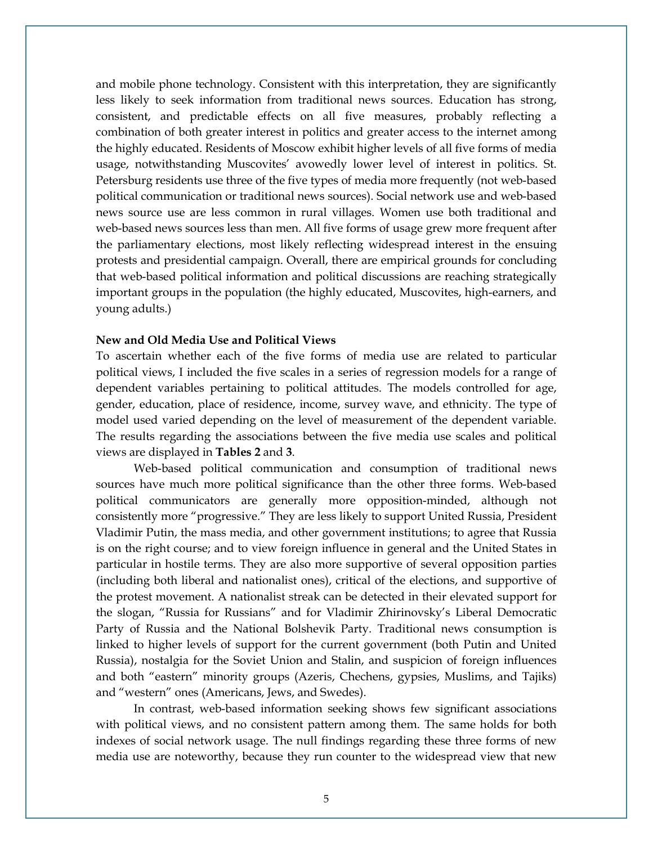and mobile phone technology. Consistent with this interpretation, they are significantly less likely to seek information from traditional news sources. Education has strong, consistent, and predictable effects on all five measures, probably reflecting a combination of both greater interest in politics and greater access to the internet among the highly educated. Residents of Moscow exhibit higher levels of all five forms of media usage, notwithstanding Muscovites' avowedly lower level of interest in politics. St. Petersburg residents use three of the five types of media more frequently (not web-based political communication or traditional news sources). Social network use and web-based news source use are less common in rural villages. Women use both traditional and web-based news sources less than men. All five forms of usage grew more frequent after the parliamentary elections, most likely reflecting widespread interest in the ensuing protests and presidential campaign. Overall, there are empirical grounds for concluding that web-based political information and political discussions are reaching strategically important groups in the population (the highly educated, Muscovites, high-earners, and young adults.)

#### **New and Old Media Use and Political Views**

To ascertain whether each of the five forms of media use are related to particular political views, I included the five scales in a series of regression models for a range of dependent variables pertaining to political attitudes. The models controlled for age, gender, education, place of residence, income, survey wave, and ethnicity. The type of model used varied depending on the level of measurement of the dependent variable. The results regarding the associations between the five media use scales and political views are displayed in **Tables 2** and **3**.

Web-based political communication and consumption of traditional news sources have much more political significance than the other three forms. Web-based political communicators are generally more opposition-minded, although not consistently more "progressive." They are less likely to support United Russia, President Vladimir Putin, the mass media, and other government institutions; to agree that Russia is on the right course; and to view foreign influence in general and the United States in particular in hostile terms. They are also more supportive of several opposition parties (including both liberal and nationalist ones), critical of the elections, and supportive of the protest movement. A nationalist streak can be detected in their elevated support for the slogan, "Russia for Russians" and for Vladimir Zhirinovsky's Liberal Democratic Party of Russia and the National Bolshevik Party. Traditional news consumption is linked to higher levels of support for the current government (both Putin and United Russia), nostalgia for the Soviet Union and Stalin, and suspicion of foreign influences and both "eastern" minority groups (Azeris, Chechens, gypsies, Muslims, and Tajiks) and "western" ones (Americans, Jews, and Swedes).

In contrast, web-based information seeking shows few significant associations with political views, and no consistent pattern among them. The same holds for both indexes of social network usage. The null findings regarding these three forms of new media use are noteworthy, because they run counter to the widespread view that new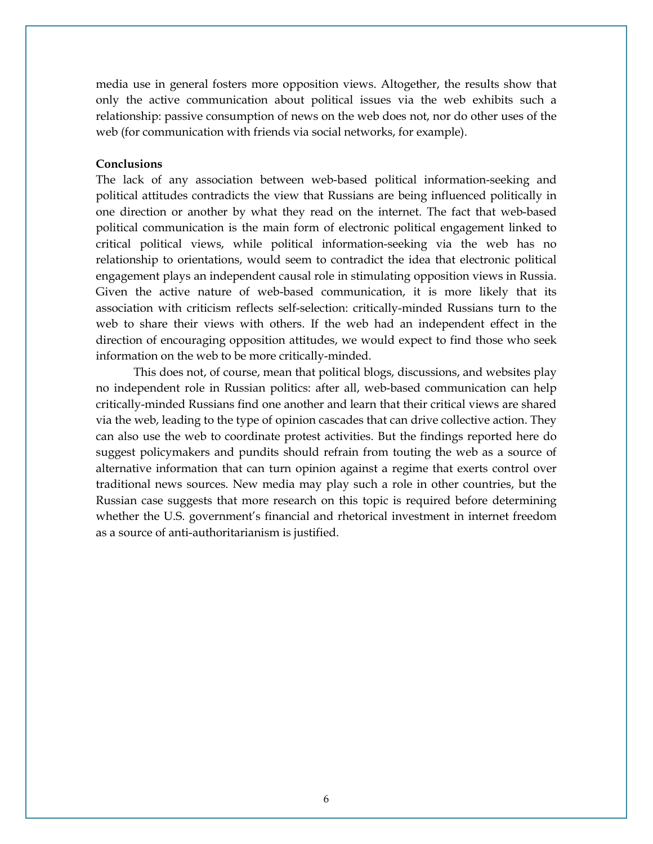media use in general fosters more opposition views. Altogether, the results show that only the active communication about political issues via the web exhibits such a relationship: passive consumption of news on the web does not, nor do other uses of the web (for communication with friends via social networks, for example).

### **Conclusions**

The lack of any association between web-based political information-seeking and political attitudes contradicts the view that Russians are being influenced politically in one direction or another by what they read on the internet. The fact that web-based political communication is the main form of electronic political engagement linked to critical political views, while political information-seeking via the web has no relationship to orientations, would seem to contradict the idea that electronic political engagement plays an independent causal role in stimulating opposition views in Russia. Given the active nature of web-based communication, it is more likely that its association with criticism reflects self-selection: critically-minded Russians turn to the web to share their views with others. If the web had an independent effect in the direction of encouraging opposition attitudes, we would expect to find those who seek information on the web to be more critically-minded.

This does not, of course, mean that political blogs, discussions, and websites play no independent role in Russian politics: after all, web-based communication can help critically-minded Russians find one another and learn that their critical views are shared via the web, leading to the type of opinion cascades that can drive collective action. They can also use the web to coordinate protest activities. But the findings reported here do suggest policymakers and pundits should refrain from touting the web as a source of alternative information that can turn opinion against a regime that exerts control over traditional news sources. New media may play such a role in other countries, but the Russian case suggests that more research on this topic is required before determining whether the U.S. government's financial and rhetorical investment in internet freedom as a source of anti-authoritarianism is justified.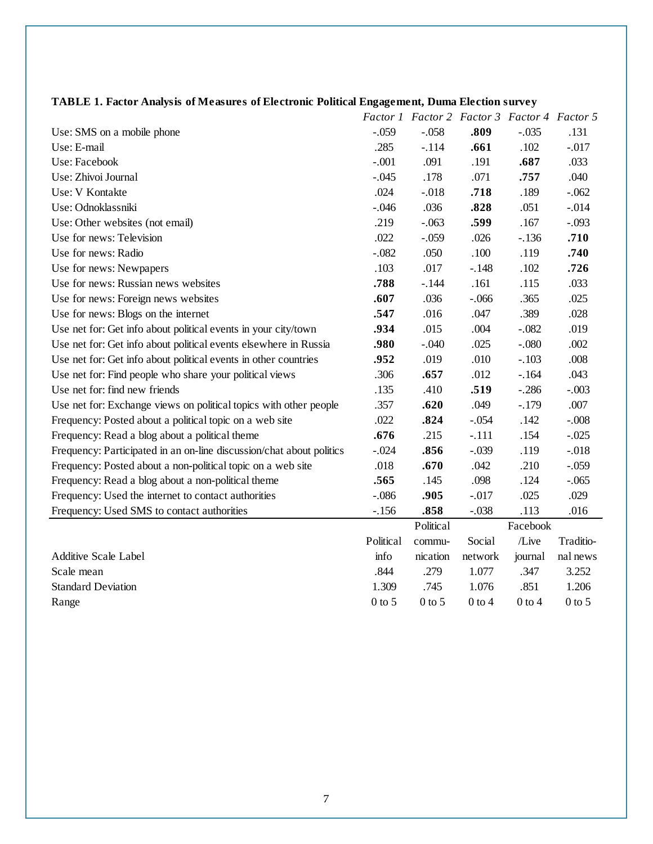# **TABLE 1. Factor Analysis of Measures of Electronic Political Engagement, Duma Election survey**

|                                                                      |           |           |            | Factor 1 Factor 2 Factor 3 Factor 4 Factor 5 |           |
|----------------------------------------------------------------------|-----------|-----------|------------|----------------------------------------------|-----------|
| Use: SMS on a mobile phone                                           | $-.059$   | $-.058$   | .809       | $-.035$                                      | .131      |
| Use: E-mail                                                          | .285      | $-.114$   | .661       | .102                                         | $-.017$   |
| Use: Facebook                                                        | $-.001$   | .091      | .191       | .687                                         | .033      |
| Use: Zhivoi Journal                                                  | $-.045$   | .178      | .071       | .757                                         | .040      |
| Use: V Kontakte                                                      | .024      | $-.018$   | .718       | .189                                         | $-.062$   |
| Use: Odnoklassniki                                                   | $-.046$   | .036      | .828       | .051                                         | $-.014$   |
| Use: Other websites (not email)                                      | .219      | $-.063$   | .599       | .167                                         | $-.093$   |
| Use for news: Television                                             | .022      | $-.059$   | .026       | $-.136$                                      | .710      |
| Use for news: Radio                                                  | $-.082$   | .050      | .100       | .119                                         | .740      |
| Use for news: Newpapers                                              | .103      | .017      | $-.148$    | .102                                         | .726      |
| Use for news: Russian news websites                                  | .788      | $-.144$   | .161       | .115                                         | .033      |
| Use for news: Foreign news websites                                  | .607      | .036      | $-.066$    | .365                                         | .025      |
| Use for news: Blogs on the internet                                  | .547      | .016      | .047       | .389                                         | .028      |
| Use net for: Get info about political events in your city/town       | .934      | .015      | .004       | $-.082$                                      | .019      |
| Use net for: Get info about political events elsewhere in Russia     | .980      | $-.040$   | .025       | $-.080$                                      | .002      |
| Use net for: Get info about political events in other countries      | .952      | .019      | .010       | $-.103$                                      | .008      |
| Use net for: Find people who share your political views              | .306      | .657      | .012       | $-164$                                       | .043      |
| Use net for: find new friends                                        | .135      | .410      | .519       | $-.286$                                      | $-.003$   |
| Use net for: Exchange views on political topics with other people    | .357      | .620      | .049       | $-.179$                                      | .007      |
| Frequency: Posted about a political topic on a web site              | .022      | .824      | $-.054$    | .142                                         | $-.008$   |
| Frequency: Read a blog about a political theme                       | .676      | .215      | $-.111$    | .154                                         | $-.025$   |
| Frequency: Participated in an on-line discussion/chat about politics | $-.024$   | .856      | $-.039$    | .119                                         | $-.018$   |
| Frequency: Posted about a non-political topic on a web site          | .018      | .670      | .042       | .210                                         | $-.059$   |
| Frequency: Read a blog about a non-political theme                   | .565      | .145      | .098       | .124                                         | $-.065$   |
| Frequency: Used the internet to contact authorities                  | $-.086$   | .905      | $-.017$    | .025                                         | .029      |
| Frequency: Used SMS to contact authorities                           | $-156$    | .858      | $-.038$    | .113                                         | .016      |
|                                                                      |           | Political |            | Facebook                                     |           |
|                                                                      | Political | commu-    | Social     | /Live                                        | Traditio- |
| <b>Additive Scale Label</b>                                          | info      | nication  | network    | journal                                      | nal news  |
| Scale mean                                                           | .844      | .279      | 1.077      | .347                                         | 3.252     |
| <b>Standard Deviation</b>                                            | 1.309     | .745      | 1.076      | .851                                         | 1.206     |
| Range                                                                | $0$ to 5  | $0$ to 5  | $0$ to $4$ | $0$ to $4$                                   | $0$ to 5  |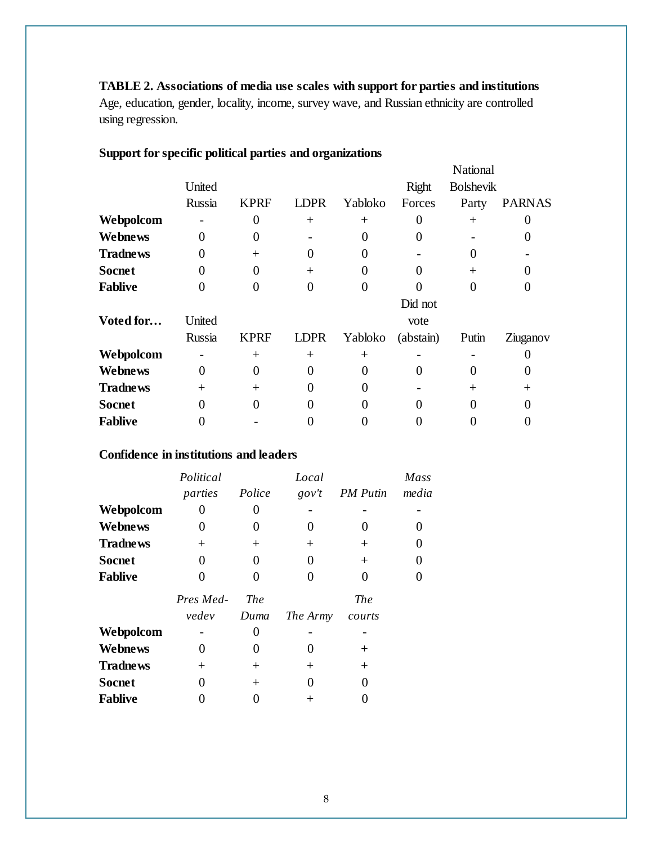**TABLE 2. Associations of media use scales with support for parties and institutions** Age, education, gender, locality, income, survey wave, and Russian ethnicity are controlled using regression.

|                 |                   |             |                  |         |           | National         |                |
|-----------------|-------------------|-------------|------------------|---------|-----------|------------------|----------------|
|                 | United            |             |                  |         | Right     | <b>Bolshevik</b> |                |
|                 | Russia            | <b>KPRF</b> | <b>LDPR</b>      | Yabloko | Forces    | Party            | <b>PARNAS</b>  |
| Webpolcom       |                   | $\theta$    | $^{+}$           | $^{+}$  | $\Omega$  | $^{+}$           | 0              |
| <b>We bnews</b> | 0                 |             |                  |         | 0         |                  |                |
| <b>Tradnews</b> | 0                 | $+$         | $\boldsymbol{0}$ | 0       |           |                  |                |
| <b>Socnet</b>   | 0                 |             | $^{+}$           |         | 0         | $^+$             | 0              |
| <b>Fablive</b>  | $\mathbf{\Omega}$ |             | 0                | 0       |           | 0                | 0              |
|                 |                   |             |                  |         | Did not   |                  |                |
| Voted for       | United            |             |                  |         | vote      |                  |                |
|                 | Russia            | <b>KPRF</b> | <b>LDPR</b>      | Yabloko | (abstain) | Putin            | Ziuganov       |
| Webpolcom       |                   | $^{+}$      | $^{+}$           | $^{+}$  |           |                  |                |
| Webnews         | 0                 | 0           | 0                |         | 0         |                  |                |
| <b>Tradnews</b> | $^{+}$            | $+$         | 0                |         |           | $^+$             | $\overline{+}$ |
| <b>Socnet</b>   | 0                 | 0           | 0                |         | 0         |                  | 0              |
| <b>Fablive</b>  |                   |             |                  |         |           |                  |                |

# **Support for specific political parties and organizations**

# **Confidence in institutions and leaders**

|                 | Political         |            | Local    |                 | Mass  |
|-----------------|-------------------|------------|----------|-----------------|-------|
|                 | parties           | Police     | gov't    | <b>PM</b> Putin | media |
| Webpolcom       | $_{0}$            |            |          |                 |       |
| <b>We bnews</b> | $\mathbf{\Omega}$ |            |          |                 |       |
| <b>Tradnews</b> | $^{+}$            | $^{+}$     | $^{+}$   | $^{+}$          |       |
| <b>Socnet</b>   | $\theta$          | 0          | 0        | $^{+}$          |       |
| <b>Fablive</b>  |                   |            |          |                 |       |
|                 | Pres Med-         | <i>The</i> |          | <b>The</b>      |       |
|                 | vedev             | Duma       | The Army | courts          |       |
| Webpolcom       |                   |            |          |                 |       |
| Webnews         | 0                 |            |          | $\pm$           |       |
| <b>Tradnews</b> | $^{+}$            | $^{+}$     | $^{+}$   | $^{+}$          |       |
| <b>Socnet</b>   | $\mathbf{\Omega}$ | $^{+}$     |          |                 |       |
| <b>Fablive</b>  |                   |            | $^+$     |                 |       |